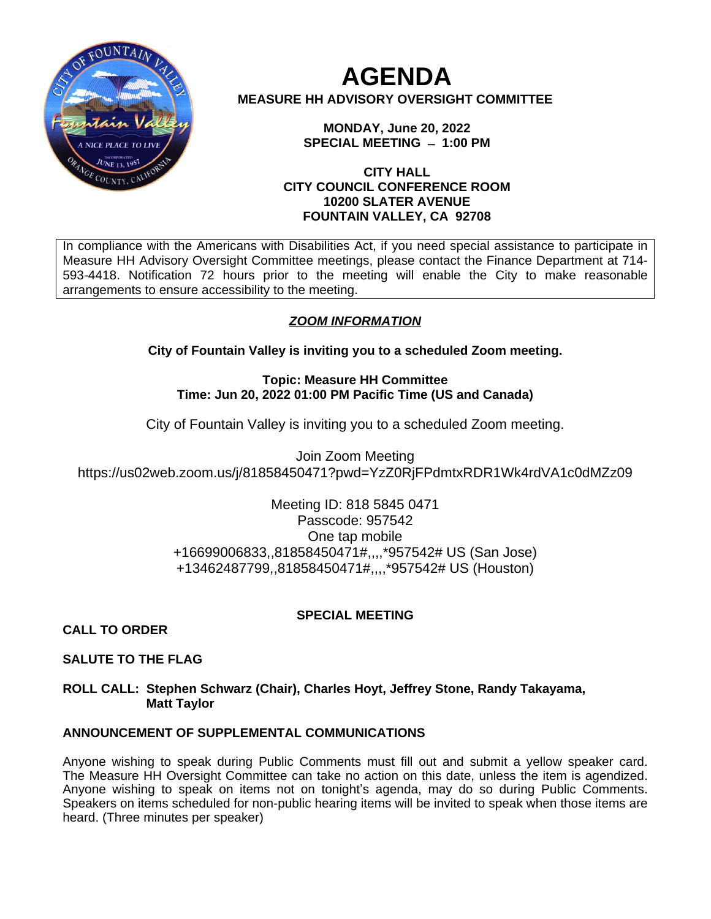

# **AGENDA MEASURE HH ADVISORY OVERSIGHT COMMITTEE**

**MONDAY, June 20, 2022 SPECIAL MEETING ̶ 1:00 PM**

## **CITY HALL CITY COUNCIL CONFERENCE ROOM 10200 SLATER AVENUE FOUNTAIN VALLEY, CA 92708**

In compliance with the Americans with Disabilities Act, if you need special assistance to participate in Measure HH Advisory Oversight Committee meetings, please contact the Finance Department at 714- 593-4418. Notification 72 hours prior to the meeting will enable the City to make reasonable arrangements to ensure accessibility to the meeting.

# *ZOOM INFORMATION*

**City of Fountain Valley is inviting you to a scheduled Zoom meeting.**

**Topic: Measure HH Committee Time: Jun 20, 2022 01:00 PM Pacific Time (US and Canada)**

City of Fountain Valley is inviting you to a scheduled Zoom meeting.

Join Zoom Meeting https://us02web.zoom.us/j/81858450471?pwd=YzZ0RjFPdmtxRDR1Wk4rdVA1c0dMZz09

> Meeting ID: 818 5845 0471 Passcode: 957542 One tap mobile +16699006833,,81858450471#,,,,\*957542# US (San Jose) +13462487799,,81858450471#,,,,\*957542# US (Houston)

# **SPECIAL MEETING**

**CALL TO ORDER**

# **SALUTE TO THE FLAG**

## **ROLL CALL: Stephen Schwarz (Chair), Charles Hoyt, Jeffrey Stone, Randy Takayama, Matt Taylor**

# **ANNOUNCEMENT OF SUPPLEMENTAL COMMUNICATIONS**

Anyone wishing to speak during Public Comments must fill out and submit a yellow speaker card. The Measure HH Oversight Committee can take no action on this date, unless the item is agendized. Anyone wishing to speak on items not on tonight's agenda, may do so during Public Comments. Speakers on items scheduled for non-public hearing items will be invited to speak when those items are heard. (Three minutes per speaker)